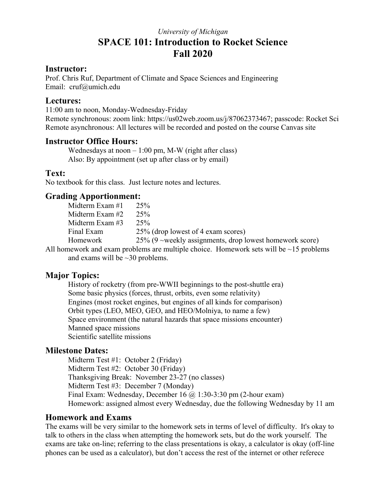# *University of Michigan*  **SPACE 101: Introduction to Rocket Science Fall 2020**

#### **Instructor:**

Prof. Chris Ruf, Department of Climate and Space Sciences and Engineering Email: cruf@umich.edu

#### **Lectures:**

11:00 am to noon, Monday-Wednesday-Friday Remote synchronous: zoom link: https://us02web.zoom.us/j/87062373467; passcode: Rocket Sci Remote asynchronous: All lectures will be recorded and posted on the course Canvas site

### **Instructor Office Hours:**

Wednesdays at noon  $-1:00$  pm, M-W (right after class) Also: By appointment (set up after class or by email)

### **Text:**

No textbook for this class. Just lecture notes and lectures.

### **Grading Apportionment:**

|   | Midterm Exam #1 | 25%                                                        |
|---|-----------------|------------------------------------------------------------|
|   | Midterm Exam #2 | 25%                                                        |
|   | Midterm Exam #3 | 25%                                                        |
|   | Final Exam      | 25% (drop lowest of 4 exam scores)                         |
|   | Homework        | $25\%$ (9 ~weekly assignments, drop lowest homework score) |
| . |                 | 11 1111 112 113 114 115 116 117                            |

All homework and exam problems are multiple choice. Homework sets will be ~15 problems and exams will be ~30 problems.

## **Major Topics:**

 History of rocketry (from pre-WWII beginnings to the post-shuttle era) Some basic physics (forces, thrust, orbits, even some relativity) Engines (most rocket engines, but engines of all kinds for comparison) Orbit types (LEO, MEO, GEO, and HEO/Molniya, to name a few) Space environment (the natural hazards that space missions encounter) Manned space missions Scientific satellite missions

## **Milestone Dates:**

 Midterm Test #1: October 2 (Friday) Midterm Test #2: October 30 (Friday) Thanksgiving Break: November 23-27 (no classes) Midterm Test #3: December 7 (Monday) Final Exam: Wednesday, December 16 @ 1:30-3:30 pm (2-hour exam) Homework: assigned almost every Wednesday, due the following Wednesday by 11 am

### **Homework and Exams**

The exams will be very similar to the homework sets in terms of level of difficulty. It's okay to talk to others in the class when attempting the homework sets, but do the work yourself. The exams are take on-line; referring to the class presentations is okay, a calculator is okay (off-line phones can be used as a calculator), but don't access the rest of the internet or other referece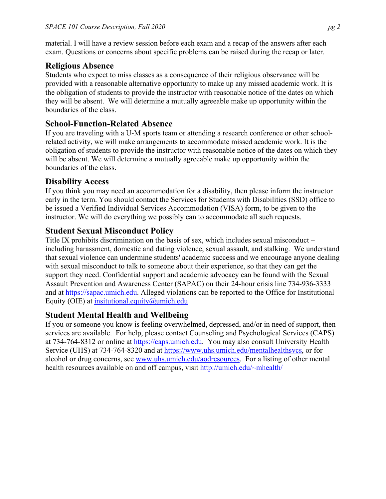material. I will have a review session before each exam and a recap of the answers after each exam. Questions or concerns about specific problems can be raised during the recap or later.

# **Religious Absence**

Students who expect to miss classes as a consequence of their religious observance will be provided with a reasonable alternative opportunity to make up any missed academic work. It is the obligation of students to provide the instructor with reasonable notice of the dates on which they will be absent. We will determine a mutually agreeable make up opportunity within the boundaries of the class.

# **School-Function-Related Absence**

If you are traveling with a U-M sports team or attending a research conference or other schoolrelated activity, we will make arrangements to accommodate missed academic work. It is the obligation of students to provide the instructor with reasonable notice of the dates on which they will be absent. We will determine a mutually agreeable make up opportunity within the boundaries of the class.

# **Disability Access**

If you think you may need an accommodation for a disability, then please inform the instructor early in the term. You should contact the Services for Students with Disabilities (SSD) office to be issued a Verified Individual Services Accommodation (VISA) form, to be given to the instructor. We will do everything we possibly can to accommodate all such requests.

# **Student Sexual Misconduct Policy**

Title IX prohibits discrimination on the basis of sex, which includes sexual misconduct – including harassment, domestic and dating violence, sexual assault, and stalking. We understand that sexual violence can undermine students' academic success and we encourage anyone dealing with sexual misconduct to talk to someone about their experience, so that they can get the support they need. Confidential support and academic advocacy can be found with the Sexual Assault Prevention and Awareness Center (SAPAC) on their 24-hour crisis line 734-936-3333 and at https://sapac.umich.edu. Alleged violations can be reported to the Office for Institutional Equity (OIE) at insitutional.equity@umich.edu

## **Student Mental Health and Wellbeing**

If you or someone you know is feeling overwhelmed, depressed, and/or in need of support, then services are available. For help, please contact Counseling and Psychological Services (CAPS) at 734-764-8312 or online at https://caps.umich.edu. You may also consult University Health Service (UHS) at 734-764-8320 and at https://www.uhs.umich.edu/mentalhealthsvcs, or for alcohol or drug concerns, see www.uhs.umich.edu/aodresources. For a listing of other mental health resources available on and off campus, visit http://umich.edu/~mhealth/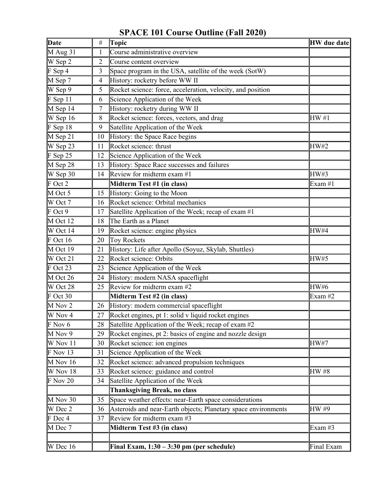# **SPACE 101 Course Outline (Fall 2020)**

| Date                  | $\#$           | Topic                                                          | <b>HW</b> due date |
|-----------------------|----------------|----------------------------------------------------------------|--------------------|
| $M$ Aug 31            | 1              | Course administrative overview                                 |                    |
| W Sep 2               | $\overline{2}$ | Course content overview                                        |                    |
| F Sep 4               | 3              | Space program in the USA, satellite of the week (SotW)         |                    |
| M Sep 7               | 4              | History: rocketry before WW II                                 |                    |
| W Sep 9               | 5              | Rocket science: force, acceleration, velocity, and position    |                    |
| $F$ Sep 11            | 6              | Science Application of the Week                                |                    |
| M Sep 14              | $\tau$         | History: rocketry during WW II                                 |                    |
| W Sep 16              | 8              | Rocket science: forces, vectors, and drag                      | HW#1               |
| $F$ Sep 18            | 9              | Satellite Application of the Week                              |                    |
| M Sep 21              | 10             | History: the Space Race begins                                 |                    |
| W Sep 23              | 11             | Rocket science: thrust                                         | <b>HW#2</b>        |
| $F$ Sep 25            | 12             | Science Application of the Week                                |                    |
| M Sep 28              | 13             | History: Space Race successes and failures                     |                    |
| W Sep 30              | 14             | Review for midterm exam $#1$                                   | HW#3               |
| F Oct 2               |                | Midterm Test #1 (in class)                                     | Exam #1            |
| M Oct 5               | 15             | History: Going to the Moon                                     |                    |
| W Oct 7               | 16             | Rocket science: Orbital mechanics                              |                    |
| $F$ Oct 9             | 17             | Satellite Application of the Week; recap of exam #1            |                    |
| M Oct 12              | 18             | The Earth as a Planet                                          |                    |
| W Oct 14              | 19             | Rocket science: engine physics                                 | HW#4               |
| $F$ Oct 16            | 20             | <b>Toy Rockets</b>                                             |                    |
| M Oct 19              | 21             | History: Life after Apollo (Soyuz, Skylab, Shuttles)           |                    |
| W Oct 21              | 22             | Rocket science: Orbits                                         | <b>HW#5</b>        |
| $\mathbb F$ Oct 23    | 23             | Science Application of the Week                                |                    |
| M Oct 26              | 24             | History: modern NASA spaceflight                               |                    |
| W Oct $\overline{28}$ | 25             | Review for midterm exam #2                                     | <b>HW#6</b>        |
| $F$ Oct 30            |                | Midterm Test #2 (in class)                                     | Exam #2            |
| M Nov 2               | 26             | History: modern commercial spaceflight                         |                    |
| W Nov 4               | 27             | Rocket engines, pt 1: solid v liquid rocket engines            |                    |
| $\mathbb F$ Nov 6     | 28             | Satellite Application of the Week; recap of exam #2            |                    |
| M Nov 9               | 29             | Rocket engines, pt 2: basics of engine and nozzle design       |                    |
| W Nov 11              | 30             | Rocket science: ion engines                                    | <b>HW#7</b>        |
| $F$ Nov 13            | 31             | Science Application of the Week                                |                    |
| M Nov 16              | 32             | Rocket science: advanced propulsion techniques                 |                    |
| W Nov 18              | 33             | Rocket science: guidance and control                           | HW #8              |
| $F$ Nov 20            | 34             | Satellite Application of the Week                              |                    |
|                       |                | <b>Thanksgiving Break, no class</b>                            |                    |
| $M$ Nov 30            | 35             | Space weather effects: near-Earth space considerations         |                    |
| W Dec 2               | 36             | Asteroids and near-Earth objects; Planetary space environments | HW #9              |
| F Dec 4               | 37             | Review for midterm exam #3                                     |                    |
| M Dec 7               |                | Midterm Test #3 (in class)                                     | Exam #3            |
|                       |                |                                                                |                    |
| W Dec 16              |                | Final Exam, $1:30 - 3:30$ pm (per schedule)                    | Final Exam         |